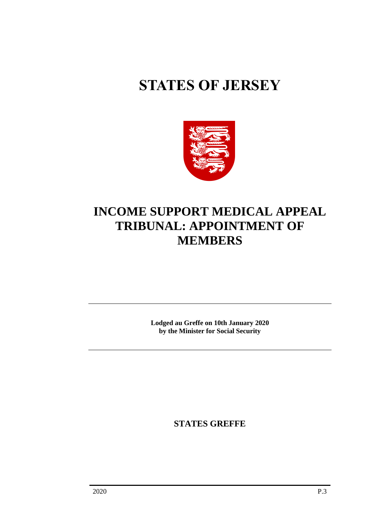# **STATES OF JERSEY**



## **INCOME SUPPORT MEDICAL APPEAL TRIBUNAL: APPOINTMENT OF MEMBERS**

**Lodged au Greffe on 10th January 2020 by the Minister for Social Security**

**STATES GREFFE**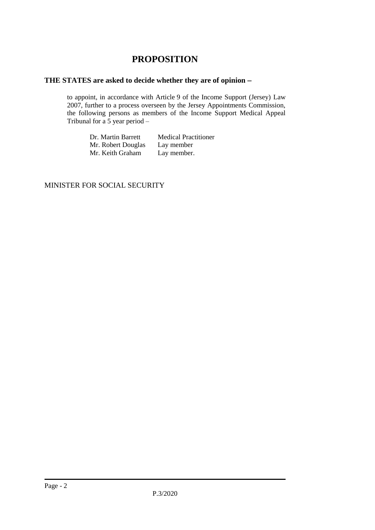### **PROPOSITION**

#### **THE STATES are asked to decide whether they are of opinion** −

to appoint, in accordance with Article 9 of the Income Support (Jersey) Law 2007, further to a process overseen by the Jersey Appointments Commission, the following persons as members of the Income Support Medical Appeal Tribunal for a  $\overline{5}$  year period –

> Dr. Martin Barrett Medical Practitioner<br>Mr. Robert Douglas Lay member Mr. Robert Douglas Lay member<br>Mr. Keith Graham Lay member. Mr. Keith Graham

MINISTER FOR SOCIAL SECURITY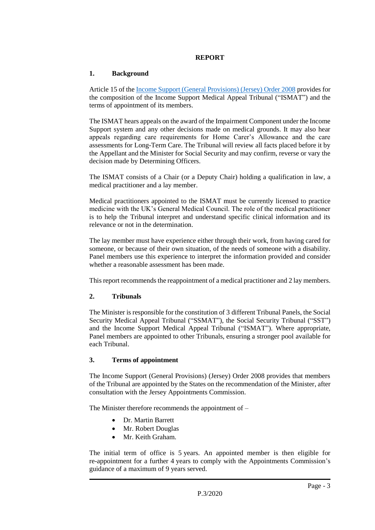#### **REPORT**

#### **1. Background**

Article 15 of the [Income Support \(General Provisions\) \(Jersey\) Order 2008](https://www.jerseylaw.je/laws/revised/Pages/26.550.20.aspx) provides for the composition of the Income Support Medical Appeal Tribunal ("ISMAT") and the terms of appointment of its members.

The ISMAT hears appeals on the award of the Impairment Component under the Income Support system and any other decisions made on medical grounds. It may also hear appeals regarding care requirements for Home Carer's Allowance and the care assessments for Long-Term Care. The Tribunal will review all facts placed before it by the Appellant and the Minister for Social Security and may confirm, reverse or vary the decision made by Determining Officers.

The ISMAT consists of a Chair (or a Deputy Chair) holding a qualification in law, a medical practitioner and a lay member.

Medical practitioners appointed to the ISMAT must be currently licensed to practice medicine with the UK's General Medical Council. The role of the medical practitioner is to help the Tribunal interpret and understand specific clinical information and its relevance or not in the determination.

The lay member must have experience either through their work, from having cared for someone, or because of their own situation, of the needs of someone with a disability. Panel members use this experience to interpret the information provided and consider whether a reasonable assessment has been made.

This report recommends the reappointment of a medical practitioner and 2 lay members.

#### **2. Tribunals**

The Minister is responsible for the constitution of 3 different Tribunal Panels, the Social Security Medical Appeal Tribunal ("SSMAT"), the Social Security Tribunal ("SST") and the Income Support Medical Appeal Tribunal ("ISMAT"). Where appropriate, Panel members are appointed to other Tribunals, ensuring a stronger pool available for each Tribunal.

#### **3. Terms of appointment**

The Income Support (General Provisions) (Jersey) Order 2008 provides that members of the Tribunal are appointed by the States on the recommendation of the Minister, after consultation with the Jersey Appointments Commission.

The Minister therefore recommends the appointment of –

- Dr. Martin Barrett
- Mr. Robert Douglas
- Mr. Keith Graham.

The initial term of office is 5 years. An appointed member is then eligible for re-appointment for a further 4 years to comply with the Appointments Commission's guidance of a maximum of 9 years served.